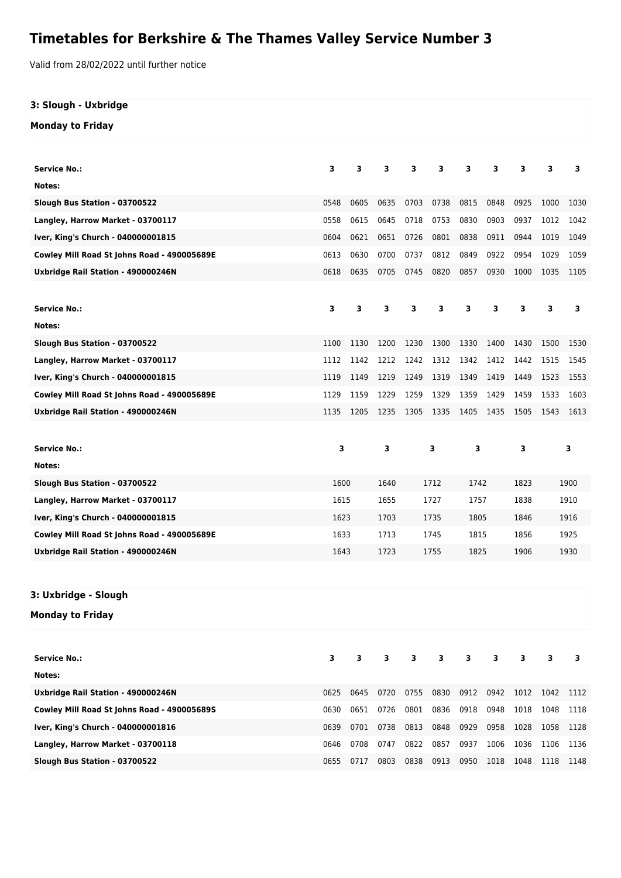## **Timetables for Berkshire & The Thames Valley Service Number 3**

Valid from 28/02/2022 until further notice

## **3: Slough - Uxbridge**

**Monday to Friday**

| <b>Service No.:</b>                         | 3    | 3    | 3    | 3    | 3    | 3    | 3    | 3            | 3    | 3    |
|---------------------------------------------|------|------|------|------|------|------|------|--------------|------|------|
| Notes:                                      |      |      |      |      |      |      |      |              |      |      |
| Slough Bus Station - 03700522               | 0548 | 0605 | 0635 | 0703 | 0738 | 0815 | 0848 | 0925         | 1000 | 1030 |
| Langley, Harrow Market - 03700117           | 0558 | 0615 | 0645 | 0718 | 0753 | 0830 | 0903 | 0937         | 1012 | 1042 |
| Iver, King's Church - 040000001815          | 0604 | 0621 | 0651 | 0726 | 0801 | 0838 | 0911 | 0944         | 1019 | 1049 |
| Cowley Mill Road St Johns Road - 490005689E | 0613 | 0630 | 0700 | 0737 | 0812 | 0849 | 0922 | 0954         | 1029 | 1059 |
| Uxbridge Rail Station - 490000246N          | 0618 | 0635 | 0705 | 0745 | 0820 | 0857 | 0930 | 1000         | 1035 | 1105 |
|                                             |      |      |      |      |      |      |      |              |      |      |
| <b>Service No.:</b>                         | 3    | 3    | 3    | 3    | 3    | 3    | 3    | 3            | 3    | 3    |
| Notes:                                      |      |      |      |      |      |      |      |              |      |      |
| Slough Bus Station - 03700522               | 1100 | 1130 | 1200 | 1230 | 1300 | 1330 | 1400 | 1430         | 1500 | 1530 |
| Langley, Harrow Market - 03700117           | 1112 | 1142 | 1212 | 1242 | 1312 | 1342 | 1412 | 1442         | 1515 | 1545 |
| Iver, King's Church - 040000001815          | 1119 | 1149 | 1219 | 1249 | 1319 | 1349 | 1419 | 1449         | 1523 | 1553 |
| Cowley Mill Road St Johns Road - 490005689E | 1129 | 1159 | 1229 | 1259 | 1329 | 1359 | 1429 | 1459         | 1533 | 1603 |
| Uxbridge Rail Station - 490000246N          | 1135 | 1205 | 1235 | 1305 | 1335 | 1405 | 1435 | 1505         | 1543 | 1613 |
|                                             |      |      |      |      |      |      |      |              |      |      |
| <b>Service No.:</b>                         | 3    |      | 3    | 3    |      | 3    |      | 3            | 3    |      |
| Notes:                                      |      |      |      |      |      |      |      |              |      |      |
| Slough Bus Station - 03700522               | 1600 |      | 1640 | 1712 |      | 1742 |      | 1823         | 1900 |      |
| Langley, Harrow Market - 03700117           | 1615 |      | 1655 | 1727 |      | 1757 |      | 1838         | 1910 |      |
| Iver, King's Church - 040000001815          | 1623 |      | 1703 | 1735 |      | 1805 |      | 1846<br>1916 |      |      |
| Cowley Mill Road St Johns Road - 490005689E | 1633 |      | 1713 | 1745 |      | 1815 |      |              | 1925 |      |
|                                             |      |      |      |      |      |      |      | 1856         |      |      |
| Uxbridge Rail Station - 490000246N          | 1643 |      | 1723 |      | 1755 | 1825 |      | 1906         |      | 1930 |
|                                             |      |      |      |      |      |      |      |              |      |      |
|                                             |      |      |      |      |      |      |      |              |      |      |
| 3: Uxbridge - Slough                        |      |      |      |      |      |      |      |              |      |      |
| Monday to Friday                            |      |      |      |      |      |      |      |              |      |      |
|                                             |      |      |      |      |      |      |      |              |      |      |
| <b>Service No.:</b>                         | з    | 3    | 3    | з    | 3    | 3    | 3    | 3            | 3    | 3    |
| Notes:                                      |      |      |      |      |      |      |      |              |      |      |
| Uxbridge Rail Station - 490000246N          | 0625 | 0645 | 0720 | 0755 | 0830 | 0912 | 0942 | 1012         | 1042 | 1112 |
| Cowley Mill Road St Johns Road - 490005689S | 0630 | 0651 | 0726 | 0801 | 0836 | 0918 | 0948 | 1018         | 1048 | 1118 |
| Iver, King's Church - 040000001816          | 0639 | 0701 | 0738 | 0813 | 0848 | 0929 | 0958 | 1028         | 1058 | 1128 |

**Slough Bus Station - 03700522** 0655 0717 0803 0838 0913 0950 1018 1048 1118 1148